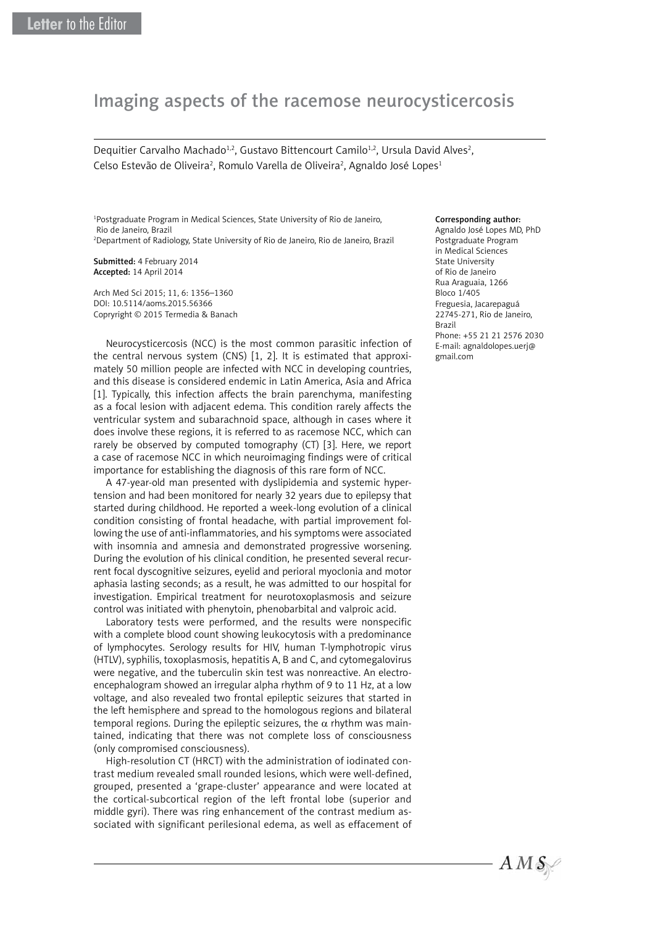## Imaging aspects of the racemose neurocysticercosis

Dequitier Carvalho Machado<sup>1,2</sup>, Gustavo Bittencourt Camilo<sup>1,2</sup>, Ursula David Alves<sup>2</sup>, Celso Estevão de Oliveira<sup>2</sup>, Romulo Varella de Oliveira<sup>2</sup>, Agnaldo José Lopes<sup>1</sup>

1 Postgraduate Program in Medical Sciences, State University of Rio de Janeiro, Rio de Janeiro, Brazil 2 Department of Radiology, State University of Rio de Janeiro, Rio de Janeiro, Brazil

Submitted: 4 February 2014 Accepted: 14 April 2014

Arch Med Sci 2015; 11, 6: 1356–1360 DOI: 10.5114/aoms.2015.56366 Copryright © 2015 Termedia & Banach

Neurocysticercosis (NCC) is the most common parasitic infection of the central nervous system (CNS) [1, 2]. It is estimated that approximately 50 million people are infected with NCC in developing countries, and this disease is considered endemic in Latin America, Asia and Africa [1]. Typically, this infection affects the brain parenchyma, manifesting as a focal lesion with adjacent edema. This condition rarely affects the ventricular system and subarachnoid space, although in cases where it does involve these regions, it is referred to as racemose NCC, which can rarely be observed by computed tomography (CT) [3]. Here, we report a case of racemose NCC in which neuroimaging findings were of critical importance for establishing the diagnosis of this rare form of NCC.

A 47-year-old man presented with dyslipidemia and systemic hypertension and had been monitored for nearly 32 years due to epilepsy that started during childhood. He reported a week-long evolution of a clinical condition consisting of frontal headache, with partial improvement following the use of anti-inflammatories, and his symptoms were associated with insomnia and amnesia and demonstrated progressive worsening. During the evolution of his clinical condition, he presented several recurrent focal dyscognitive seizures, eyelid and perioral myoclonia and motor aphasia lasting seconds; as a result, he was admitted to our hospital for investigation. Empirical treatment for neurotoxoplasmosis and seizure control was initiated with phenytoin, phenobarbital and valproic acid.

Laboratory tests were performed, and the results were nonspecific with a complete blood count showing leukocytosis with a predominance of lymphocytes. Serology results for HIV, human T-lymphotropic virus (HTLV), syphilis, toxoplasmosis, hepatitis A, B and C, and cytomegalovirus were negative, and the tuberculin skin test was nonreactive. An electroencephalogram showed an irregular alpha rhythm of 9 to 11 Hz, at a low voltage, and also revealed two frontal epileptic seizures that started in the left hemisphere and spread to the homologous regions and bilateral temporal regions. During the epileptic seizures, the  $\alpha$  rhythm was maintained, indicating that there was not complete loss of consciousness (only compromised consciousness).

High-resolution CT (HRCT) with the administration of iodinated contrast medium revealed small rounded lesions, which were well-defined, grouped, presented a 'grape-cluster' appearance and were located at the cortical-subcortical region of the left frontal lobe (superior and middle gyri). There was ring enhancement of the contrast medium associated with significant perilesional edema, as well as effacement of

## Corresponding author:

Agnaldo José Lopes MD, PhD Postgraduate Program in Medical Sciences State University of Rio de Janeiro Rua Araguaia, 1266 Bloco 1/405 Freguesia, Jacarepaguá 22745-271, Rio de Janeiro, Brazil Phone: +55 21 21 2576 2030 E-mail: agnaldolopes.uerj@ gmail.com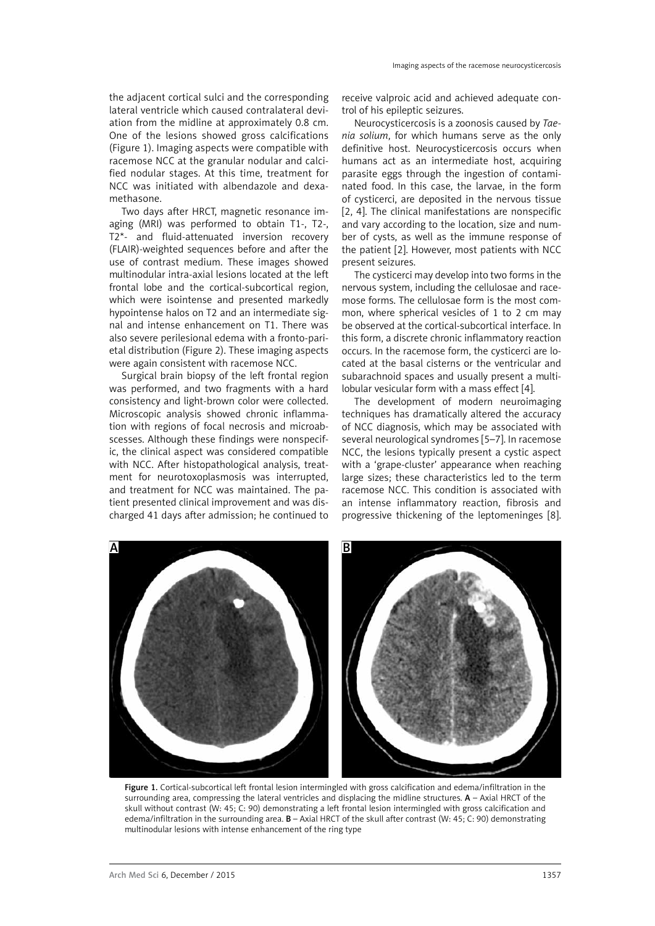the adjacent cortical sulci and the corresponding lateral ventricle which caused contralateral deviation from the midline at approximately 0.8 cm. One of the lesions showed gross calcifications (Figure 1). Imaging aspects were compatible with racemose NCC at the granular nodular and calcified nodular stages. At this time, treatment for NCC was initiated with albendazole and dexamethasone.

Two days after HRCT, magnetic resonance imaging (MRI) was performed to obtain T1-, T2-, T2\*- and fluid-attenuated inversion recovery (FLAIR)-weighted sequences before and after the use of contrast medium. These images showed multinodular intra-axial lesions located at the left frontal lobe and the cortical-subcortical region, which were isointense and presented markedly hypointense halos on T2 and an intermediate signal and intense enhancement on T1. There was also severe perilesional edema with a fronto-parietal distribution (Figure 2). These imaging aspects were again consistent with racemose NCC.

Surgical brain biopsy of the left frontal region was performed, and two fragments with a hard consistency and light-brown color were collected. Microscopic analysis showed chronic inflammation with regions of focal necrosis and microabscesses. Although these findings were nonspecific, the clinical aspect was considered compatible with NCC. After histopathological analysis, treatment for neurotoxoplasmosis was interrupted, and treatment for NCC was maintained. The patient presented clinical improvement and was discharged 41 days after admission; he continued to receive valproic acid and achieved adequate control of his epileptic seizures.

Neurocysticercosis is a zoonosis caused by *Taenia solium*, for which humans serve as the only definitive host. Neurocysticercosis occurs when humans act as an intermediate host, acquiring parasite eggs through the ingestion of contaminated food. In this case, the larvae, in the form of cysticerci, are deposited in the nervous tissue [2, 4]. The clinical manifestations are nonspecific and vary according to the location, size and number of cysts, as well as the immune response of the patient [2]. However, most patients with NCC present seizures.

The cysticerci may develop into two forms in the nervous system, including the cellulosae and racemose forms. The cellulosae form is the most common, where spherical vesicles of 1 to 2 cm may be observed at the cortical-subcortical interface. In this form, a discrete chronic inflammatory reaction occurs. In the racemose form, the cysticerci are located at the basal cisterns or the ventricular and subarachnoid spaces and usually present a multilobular vesicular form with a mass effect [4].

The development of modern neuroimaging techniques has dramatically altered the accuracy of NCC diagnosis, which may be associated with several neurological syndromes [5–7]. In racemose NCC, the lesions typically present a cystic aspect with a 'grape-cluster' appearance when reaching large sizes; these characteristics led to the term racemose NCC. This condition is associated with an intense inflammatory reaction, fibrosis and progressive thickening of the leptomeninges [8].



Figure 1. Cortical-subcortical left frontal lesion intermingled with gross calcification and edema/infiltration in the surrounding area, compressing the lateral ventricles and displacing the midline structures. A – Axial HRCT of the skull without contrast (W: 45; C: 90) demonstrating a left frontal lesion intermingled with gross calcification and edema/infiltration in the surrounding area. **B** – Axial HRCT of the skull after contrast (W: 45; C: 90) demonstrating multinodular lesions with intense enhancement of the ring type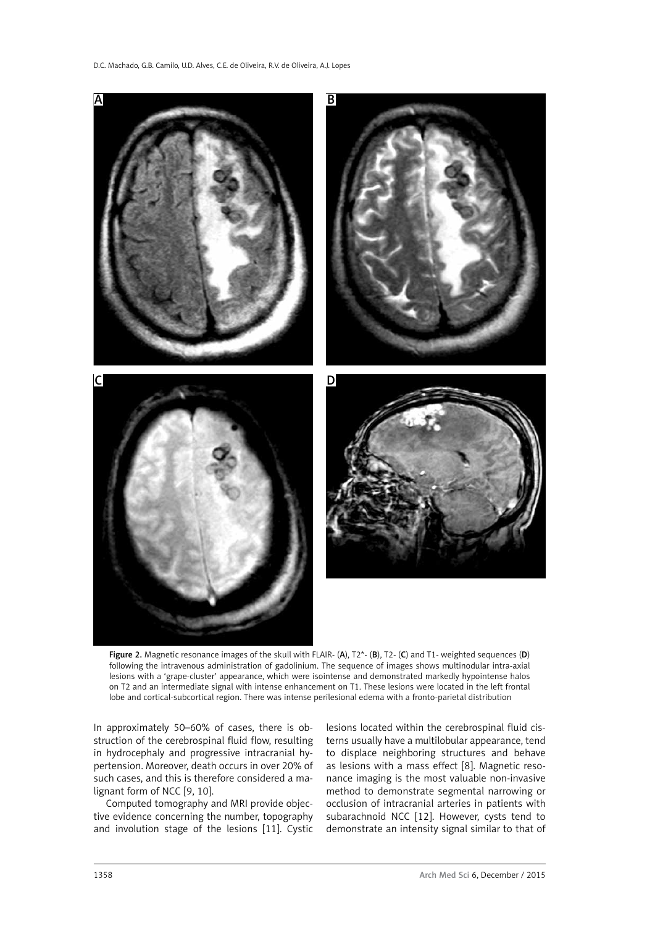

Figure 2. Magnetic resonance images of the skull with FLAIR- $(A)$ ,  $T^*$ - $(B)$ ,  $T^2$ - $(C)$  and T1- weighted sequences  $(D)$ following the intravenous administration of gadolinium. The sequence of images shows multinodular intra-axial lesions with a 'grape-cluster' appearance, which were isointense and demonstrated markedly hypointense halos on T2 and an intermediate signal with intense enhancement on T1. These lesions were located in the left frontal lobe and cortical-subcortical region. There was intense perilesional edema with a fronto-parietal distribution

In approximately 50–60% of cases, there is obstruction of the cerebrospinal fluid flow, resulting in hydrocephaly and progressive intracranial hypertension. Moreover, death occurs in over 20% of such cases, and this is therefore considered a malignant form of NCC [9, 10].

Computed tomography and MRI provide objective evidence concerning the number, topography and involution stage of the lesions [11]. Cystic lesions located within the cerebrospinal fluid cisterns usually have a multilobular appearance, tend to displace neighboring structures and behave as lesions with a mass effect [8]. Magnetic resonance imaging is the most valuable non-invasive method to demonstrate segmental narrowing or occlusion of intracranial arteries in patients with subarachnoid NCC [12]. However, cysts tend to demonstrate an intensity signal similar to that of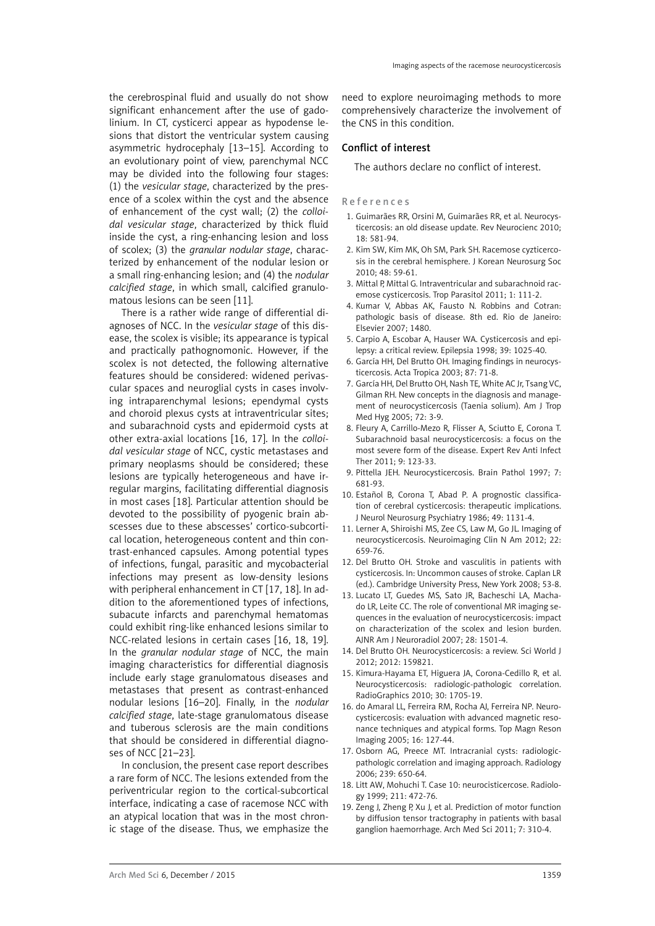the cerebrospinal fluid and usually do not show significant enhancement after the use of gadolinium. In CT, cysticerci appear as hypodense lesions that distort the ventricular system causing asymmetric hydrocephaly [13–15]. According to an evolutionary point of view, parenchymal NCC may be divided into the following four stages: (1) the *vesicular stage*, characterized by the presence of a scolex within the cyst and the absence of enhancement of the cyst wall; (2) the *colloidal vesicular stage*, characterized by thick fluid inside the cyst, a ring-enhancing lesion and loss of scolex; (3) the *granular nodular stage*, characterized by enhancement of the nodular lesion or a small ring-enhancing lesion; and (4) the *nodular calcified stage*, in which small, calcified granulomatous lesions can be seen [11].

There is a rather wide range of differential diagnoses of NCC. In the *vesicular stage* of this disease, the scolex is visible; its appearance is typical and practically pathognomonic. However, if the scolex is not detected, the following alternative features should be considered: widened perivascular spaces and neuroglial cysts in cases involving intraparenchymal lesions; ependymal cysts and choroid plexus cysts at intraventricular sites; and subarachnoid cysts and epidermoid cysts at other extra-axial locations [16, 17]. In the *colloidal vesicular stage* of NCC, cystic metastases and primary neoplasms should be considered; these lesions are typically heterogeneous and have irregular margins, facilitating differential diagnosis in most cases [18]. Particular attention should be devoted to the possibility of pyogenic brain abscesses due to these abscesses' cortico-subcortical location, heterogeneous content and thin contrast-enhanced capsules. Among potential types of infections, fungal, parasitic and mycobacterial infections may present as low-density lesions with peripheral enhancement in CT [17, 18]. In addition to the aforementioned types of infections, subacute infarcts and parenchymal hematomas could exhibit ring-like enhanced lesions similar to NCC-related lesions in certain cases [16, 18, 19]. In the *granular nodular stage* of NCC, the main imaging characteristics for differential diagnosis include early stage granulomatous diseases and metastases that present as contrast-enhanced nodular lesions [16–20]. Finally, in the *nodular calcified stage*, late-stage granulomatous disease and tuberous sclerosis are the main conditions that should be considered in differential diagnoses of NCC [21–23].

In conclusion, the present case report describes a rare form of NCC. The lesions extended from the periventricular region to the cortical-subcortical interface, indicating a case of racemose NCC with an atypical location that was in the most chronic stage of the disease. Thus, we emphasize the

need to explore neuroimaging methods to more comprehensively characterize the involvement of the CNS in this condition.

## Conflict of interest

The authors declare no conflict of interest.

## References

- 1. Guimarães RR, Orsini M, Guimarães RR, et al. Neurocysticercosis: an old disease update. Rev Neurocienc 2010; 18: 581-94.
- 2. Kim SW, Kim MK, Oh SM, Park SH. Racemose cyzticercosis in the cerebral hemisphere. J Korean Neurosurg Soc 2010; 48: 59-61.
- 3. Mittal P, Mittal G. Intraventricular and subarachnoid racemose cysticercosis. Trop Parasitol 2011; 1: 111-2.
- 4. Kumar V, Abbas AK, Fausto N. Robbins and Cotran: pathologic basis of disease. 8th ed. Rio de Janeiro: Elsevier 2007; 1480.
- 5. Carpio A, Escobar A, Hauser WA. Cysticercosis and epilepsy: a critical review. Epilepsia 1998; 39: 1025-40.
- 6. García HH, Del Brutto OH. Imaging findings in neurocysticercosis. Acta Tropica 2003; 87: 71-8.
- 7. García HH, Del Brutto OH, Nash TE, White AC Jr, Tsang VC, Gilman RH. New concepts in the diagnosis and management of neurocysticercosis (Taenia solium). Am J Trop Med Hyg 2005; 72: 3-9.
- 8. Fleury A, Carrillo-Mezo R, Flisser A, Sciutto E, Corona T. Subarachnoid basal neurocysticercosis: a focus on the most severe form of the disease. Expert Rev Anti Infect Ther 2011; 9: 123-33.
- 9. Pittella JEH. Neurocysticercosis. Brain Pathol 1997; 7: 681-93.
- 10. Estañol B, Corona T, Abad P. A prognostic classification of cerebral cysticercosis: therapeutic implications. J Neurol Neurosurg Psychiatry 1986; 49: 1131-4.
- 11. Lerner A, Shiroishi MS, Zee CS, Law M, Go JL. Imaging of neurocysticercosis. Neuroimaging Clin N Am 2012; 22: 659-76.
- 12. Del Brutto OH. Stroke and vasculitis in patients with cysticercosis. In: Uncommon causes of stroke. Caplan LR (ed.). Cambridge University Press, New York 2008; 53-8.
- 13. Lucato LT, Guedes MS, Sato JR, Bacheschi LA, Machado LR, Leite CC. The role of conventional MR imaging sequences in the evaluation of neurocysticercosis: impact on characterization of the scolex and lesion burden. AJNR Am J Neuroradiol 2007; 28: 1501-4.
- 14. Del Brutto OH. Neurocysticercosis: a review. Sci World J 2012; 2012: 159821.
- 15. Kimura-Hayama ET, Higuera JA, Corona-Cedillo R, et al. Neurocysticercosis: radiologic-pathologic correlation. RadioGraphics 2010; 30: 1705-19.
- 16. do Amaral LL, Ferreira RM, Rocha AJ, Ferreira NP. Neurocysticercosis: evaluation with advanced magnetic resonance techniques and atypical forms. Top Magn Reson Imaging 2005; 16: 127-44.
- 17. Osborn AG, Preece MT. Intracranial cysts: radiologicpathologic correlation and imaging approach. Radiology 2006; 239: 650-64.
- 18. Litt AW, Mohuchi T. Case 10: neurocisticercose. Radiology 1999; 211: 472-76.
- 19. Zeng J, Zheng P, Xu J, et al. Prediction of motor function by diffusion tensor tractography in patients with basal ganglion haemorrhage. Arch Med Sci 2011; 7: 310-4.